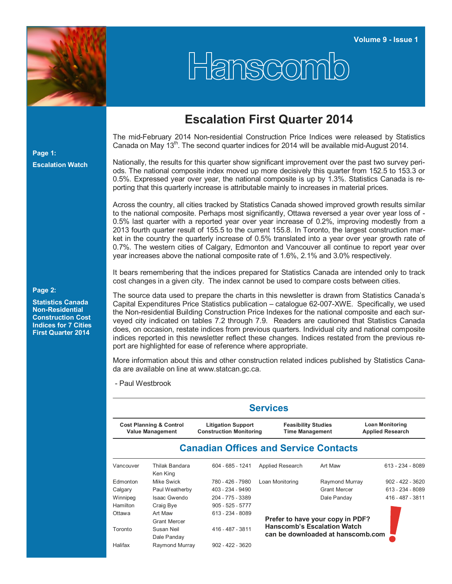

## Hanscomb

## **Escalation First Quarter 2014**

The mid-February 2014 Non-residential Construction Price Indices were released by Statistics Canada on May 13<sup>th</sup>. The second quarter indices for 2014 will be available mid-August 2014.

Nationally, the results for this quarter show significant improvement over the past two survey periods. The national composite index moved up more decisively this quarter from 152.5 to 153.3 or 0.5%. Expressed year over year, the national composite is up by 1.3%. Statistics Canada is reporting that this quarterly increase is attributable mainly to increases in material prices.

Across the country, all cities tracked by Statistics Canada showed improved growth results similar to the national composite. Perhaps most significantly, Ottawa reversed a year over year loss of - 0.5% last quarter with a reported year over year increase of 0.2%, improving modestly from a 2013 fourth quarter result of 155.5 to the current 155.8. In Toronto, the largest construction market in the country the quarterly increase of 0.5% translated into a year over year growth rate of 0.7%. The western cities of Calgary, Edmonton and Vancouver all continue to report year over year increases above the national composite rate of 1.6%, 2.1% and 3.0% respectively.

It bears remembering that the indices prepared for Statistics Canada are intended only to track cost changes in a given city. The index cannot be used to compare costs between cities.

The source data used to prepare the charts in this newsletter is drawn from Statistics Canada's Capital Expenditures Price Statistics publication – catalogue 62-007-XWE. Specifically, we used the Non-residential Building Construction Price Indexes for the national composite and each surveyed city indicated on tables 7.2 through 7.9. Readers are cautioned that Statistics Canada does, on occasion, restate indices from previous quarters. Individual city and national composite indices reported in this newsletter reflect these changes. Indices restated from the previous report are highlighted for ease of reference where appropriate.

More information about this and other construction related indices published by Statistics Canada are available on line at www.statcan.gc.ca.

- Paul Westbrook

|                                                               |                            |                                                             | <b>Services</b>                                      |                                   |                                                   |
|---------------------------------------------------------------|----------------------------|-------------------------------------------------------------|------------------------------------------------------|-----------------------------------|---------------------------------------------------|
| <b>Cost Planning &amp; Control</b><br><b>Value Management</b> |                            | <b>Litigation Support</b><br><b>Construction Monitoring</b> | <b>Feasibility Studies</b><br><b>Time Management</b> |                                   | <b>Loan Monitoring</b><br><b>Applied Research</b> |
|                                                               |                            | <b>Canadian Offices and Service Contacts</b>                |                                                      |                                   |                                                   |
| Vancouver                                                     | Thilak Bandara<br>Ken King | 604 - 685 - 1241                                            | Applied Research                                     | Art Maw                           | $613 - 234 - 8089$                                |
| Edmonton                                                      | Mike Swick                 | 780 - 426 - 7980                                            | Loan Monitoring                                      | Raymond Murray                    | $902 - 422 - 3620$                                |
| Calgary                                                       | Paul Weatherby             | 403 - 234 - 9490                                            |                                                      | <b>Grant Mercer</b>               | 613 - 234 - 8089                                  |
| Winnipeg                                                      | Isaac Gwendo               | 204 - 775 - 3389                                            |                                                      | Dale Panday                       | 416 - 487 - 3811                                  |
| Hamilton                                                      | Craig Bye                  | $905 - 525 - 5777$                                          |                                                      |                                   |                                                   |
| Ottawa                                                        | Art Maw                    | 613 - 234 - 8089                                            |                                                      |                                   |                                                   |
|                                                               | <b>Grant Mercer</b>        |                                                             |                                                      | Prefer to have your copy in PDF?  |                                                   |
| Toronto                                                       | Susan Neil                 | 416 - 487 - 3811                                            | <b>Hanscomb's Escalation Watch</b>                   |                                   |                                                   |
|                                                               | Dale Panday                |                                                             |                                                      | can be downloaded at hanscomb.com |                                                   |
| Halifax                                                       | Raymond Murray             | $902 - 422 - 3620$                                          |                                                      |                                   |                                                   |

**Page 1: Escalation Watch**

## **Page 2:**

**Statistics Canada Non-Residential Construction Cost Indices for 7 Cities First Quarter 2014**